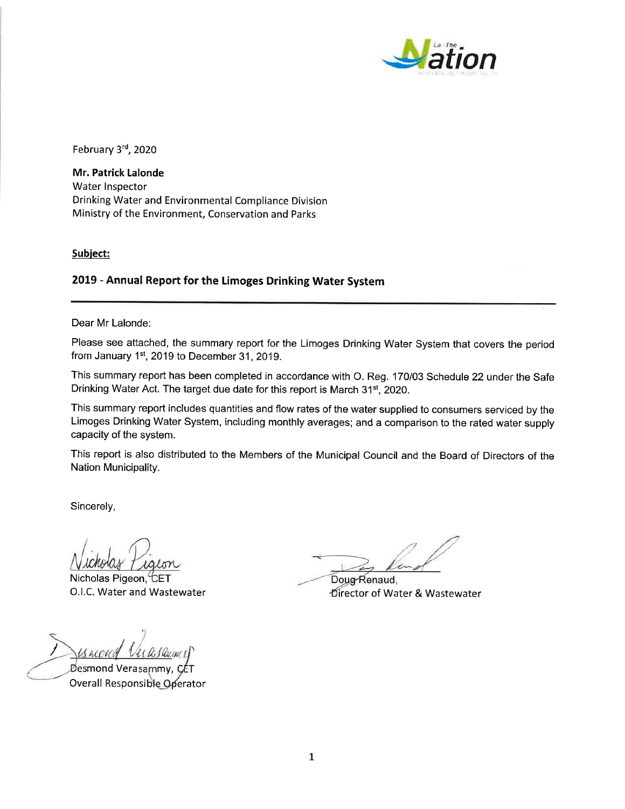

February 3rd, 2020

Mr. Patrick Lalonde Water Inspector Drinking Water and Environmental Compliance Division Ministry of the Environment, Conservation and Parks

### Subject:

# 2019 - Annual Report for the Limoges Drinking Water System

Dear Mr Lalonde:

Please see attached, the summary report for the Limoges Drinking Water System that covers the period from January 1st, 2019 to December 31, 2019.

This summary report has been completed in accordance with O. Reg. 170/03 Schedule 22 under the Safe Drinking Water Act. The target due date for this report is March 31<sup>st</sup>, 2020.

This summary report includes quantities and flow rates of the water supplied to consumers serviced by the Limoges Drinking Water System, including monthly averages; and a comparison to the rated water supply capacity of the system.

This report is also distributed to the Members of the Municipal Council and the Board of Directors of the Nation Municipality.

Sincerely,

Nicholas Pigeon, CET O.I.C. Water and Wastewater

Desmond Verasammy. Overall Responsible Operator

Doug-Renaud, Director of Water & Wastewater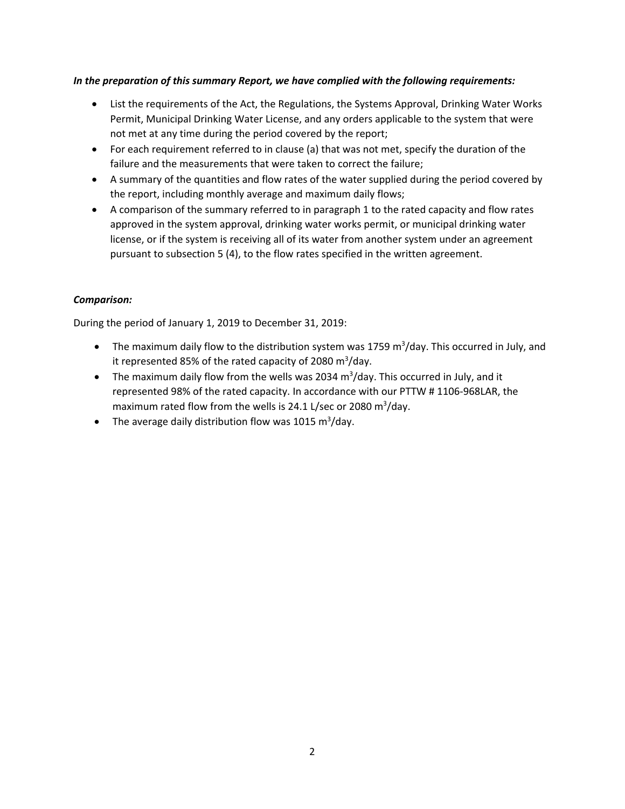# *In the preparation of this summary Report, we have complied with the following requirements:*

- List the requirements of the Act, the Regulations, the Systems Approval, Drinking Water Works Permit, Municipal Drinking Water License, and any orders applicable to the system that were not met at any time during the period covered by the report;
- For each requirement referred to in clause (a) that was not met, specify the duration of the failure and the measurements that were taken to correct the failure;
- A summary of the quantities and flow rates of the water supplied during the period covered by the report, including monthly average and maximum daily flows;
- A comparison of the summary referred to in paragraph 1 to the rated capacity and flow rates approved in the system approval, drinking water works permit, or municipal drinking water license, or if the system is receiving all of its water from another system under an agreement pursuant to subsection 5 (4), to the flow rates specified in the written agreement.

# *Comparison:*

During the period of January 1, 2019 to December 31, 2019:

- The maximum daily flow to the distribution system was 1759  $m^3$ /day. This occurred in July, and it represented 85% of the rated capacity of 2080  $\text{m}^3/\text{day}$ .
- The maximum daily flow from the wells was 2034  $m^3$ /day. This occurred in July, and it represented 98% of the rated capacity. In accordance with our PTTW # 1106‐968LAR, the maximum rated flow from the wells is 24.1 L/sec or 2080 m<sup>3</sup>/day.
- The average daily distribution flow was 1015  $\mathrm{m}^3/\mathrm{day}$ .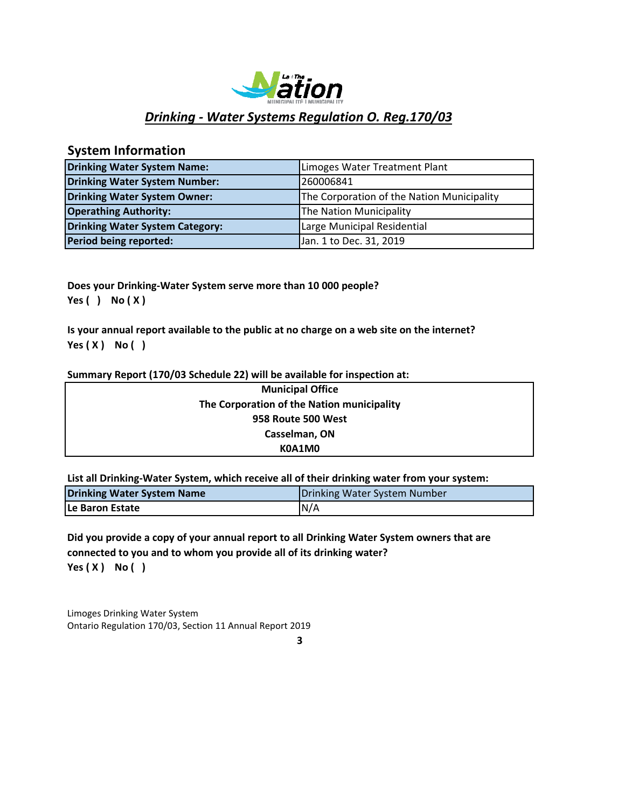

# *Drinking ‐ Water Systems Regulation O. Reg.170/03*

# **System Information**

| <b>Drinking Water System Name:</b>     | Limoges Water Treatment Plant              |
|----------------------------------------|--------------------------------------------|
| <b>Drinking Water System Number:</b>   | 260006841                                  |
| Drinking Water System Owner:           | The Corporation of the Nation Municipality |
| <b>Operathing Authority:</b>           | The Nation Municipality                    |
| <b>Drinking Water System Category:</b> | Large Municipal Residential                |
| Period being reported:                 | Jan. 1 to Dec. 31, 2019                    |

**Does your Drinking‐Water System serve more than 10 000 people? Yes ( ) No ( X )**

**Is your annual report available to the public at no charge on a web site on the internet? Yes ( X ) No ( )**

### **Summary Report (170/03 Schedule 22) will be available for inspection at:**

| <b>Municipal Office</b>                    |  |
|--------------------------------------------|--|
| The Corporation of the Nation municipality |  |
| 958 Route 500 West                         |  |
| Casselman, ON                              |  |
| K0A1M0                                     |  |

**List all Drinking‐Water System, which receive all of their drinking water from your system:**

| <b>Drinking Water System Name</b> | Drinking Water System Number |
|-----------------------------------|------------------------------|
| <b>ILe Baron Estate</b>           | N/A                          |

**Yes ( X ) No ( ) Did you provide a copy of your annual report to all Drinking Water System owners that are connected to you and to whom you provide all of its drinking water?**

Limoges Drinking Water System Ontario Regulation 170/03, Section 11 Annual Report 2019

**3**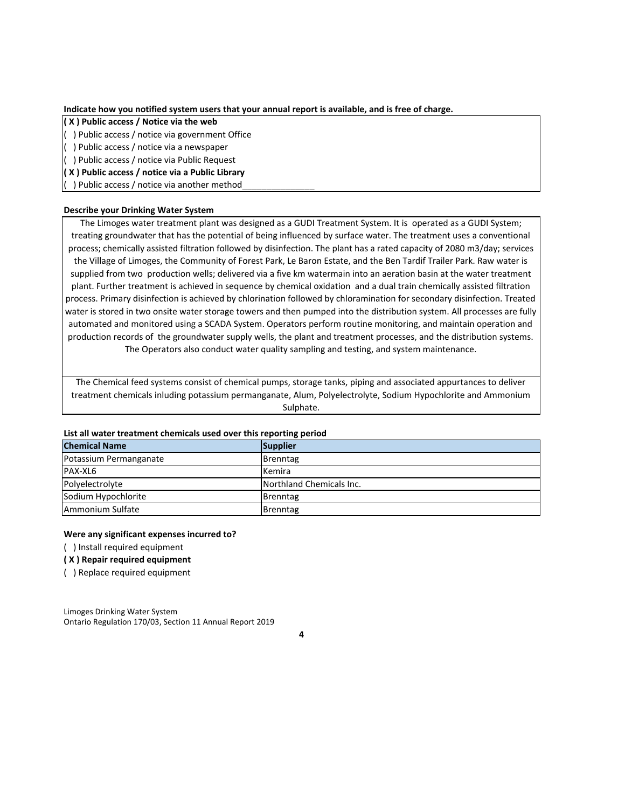**Indicate how you notified system users that your annual report is available, and is free of charge.**

**( X ) Public access / Notice via the web**

( ) Public access / notice via government Office

( ) Public access / notice via a newspaper

( ) Public access / notice via Public Request

**( X ) Public access / notice via a Public Library**

() Public access / notice via another method\_

### **Describe your Drinking Water System**

The Limoges water treatment plant was designed as a GUDI Treatment System. It is operated as a GUDI System; treating groundwater that has the potential of being influenced by surface water. The treatment uses a conventional process; chemically assisted filtration followed by disinfection. The plant has a rated capacity of 2080 m3/day; services the Village of Limoges, the Community of Forest Park, Le Baron Estate, and the Ben Tardif Trailer Park. Raw water is supplied from two production wells; delivered via a five km watermain into an aeration basin at the water treatment plant. Further treatment is achieved in sequence by chemical oxidation and a dual train chemically assisted filtration process. Primary disinfection is achieved by chlorination followed by chloramination for secondary disinfection. Treated water is stored in two onsite water storage towers and then pumped into the distribution system. All processes are fully automated and monitored using a SCADA System. Operators perform routine monitoring, and maintain operation and production records of the groundwater supply wells, the plant and treatment processes, and the distribution systems. The Operators also conduct water quality sampling and testing, and system maintenance.

The Chemical feed systems consist of chemical pumps, storage tanks, piping and associated appurtances to deliver treatment chemicals inluding potassium permanganate, Alum, Polyelectrolyte, Sodium Hypochlorite and Ammonium Sulphate.

### **List all water treatment chemicals used over this reporting period**

| <b>Chemical Name</b>   | Supplier                 |
|------------------------|--------------------------|
| Potassium Permanganate | <b>Brenntag</b>          |
| PAX-XL6                | Kemira                   |
| Polyelectrolyte        | Northland Chemicals Inc. |
| Sodium Hypochlorite    | Brenntag                 |
| Ammonium Sulfate       | Brenntag                 |

#### **Were any significant expenses incurred to?**

( ) Install required equipment

#### **( X ) Repair required equipment**

( ) Replace required equipment

Limoges Drinking Water System Ontario Regulation 170/03, Section 11 Annual Report 2019

**4**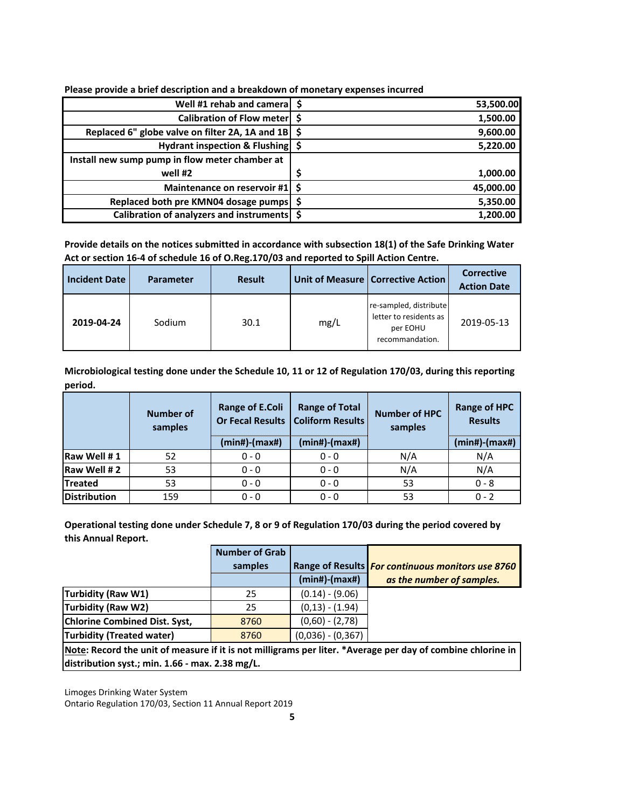| Well #1 rehab and camera   \$                              | 53,500.00 |
|------------------------------------------------------------|-----------|
| Calibration of Flow meter   \$                             | 1,500.00  |
| Replaced 6" globe valve on filter 2A, 1A and $1B\vert\$ \$ | 9,600.00  |
| Hydrant inspection & Flushing \$                           | 5,220.00  |
| Install new sump pump in flow meter chamber at             |           |
| well #2                                                    | 1,000.00  |
| Maintenance on reservoir #1 \$                             | 45,000.00 |
| Replaced both pre KMN04 dosage pumps   \$                  | 5,350.00  |
| Calibration of analyzers and instruments   \$              | 1,200.00  |

**Please provide a brief description and a breakdown of monetary expenses incurred**

**Provide details on the notices submitted in accordance with subsection 18(1) of the Safe Drinking Water Act or section 16‐4 of schedule 16 of O.Reg.170/03 and reported to Spill Action Centre.**

| <b>Incident Date</b> | <b>Parameter</b> | <b>Result</b> |      | Unit of Measure   Corrective Action                                             | <b>Corrective</b><br><b>Action Date</b> |
|----------------------|------------------|---------------|------|---------------------------------------------------------------------------------|-----------------------------------------|
| 2019-04-24           | Sodium           | 30.1          | mg/L | re-sampled, distribute<br>letter to residents as<br>per EOHU<br>recommandation. | 2019-05-13                              |

**Microbiological testing done under the Schedule 10, 11 or 12 of Regulation 170/03, during this reporting period.**

|                     | <b>Number of</b><br>samples | <b>Range of E.Coli</b><br>$(min#)$ - $(max#)$ | <b>Range of Total</b><br><b>Or Fecal Results   Coliform Results</b><br>$(min#)$ - $(max#)$ | <b>Number of HPC</b><br>samples | <b>Range of HPC</b><br><b>Results</b><br>$(min#)$ - $(max#)$ |
|---------------------|-----------------------------|-----------------------------------------------|--------------------------------------------------------------------------------------------|---------------------------------|--------------------------------------------------------------|
|                     |                             |                                               |                                                                                            |                                 |                                                              |
| Raw Well #1         | 52                          | $0 - 0$                                       | $0 - 0$                                                                                    | N/A                             | N/A                                                          |
| Raw Well #2         | 53                          | $0 - 0$                                       | $0 - 0$                                                                                    | N/A                             | N/A                                                          |
| <b>Treated</b>      | 53                          | $0 - 0$                                       | $0 - 0$                                                                                    | 53                              | $0 - 8$                                                      |
| <b>Distribution</b> | 159                         | $0 - 0$                                       | $0 - 0$                                                                                    | 53                              | $0 - 2$                                                      |

**Operational testing done under Schedule 7, 8 or 9 of Regulation 170/03 during the period covered by this Annual Report.**

|                                                                                                             | <b>Number of Grab</b> |                     |                                                   |  |  |
|-------------------------------------------------------------------------------------------------------------|-----------------------|---------------------|---------------------------------------------------|--|--|
|                                                                                                             | samples               |                     | Range of Results For continuous monitors use 8760 |  |  |
|                                                                                                             |                       | $(min#)$ - $(max#)$ | as the number of samples.                         |  |  |
| Turbidity (Raw W1)                                                                                          | 25                    | $(0.14) - (9.06)$   |                                                   |  |  |
| Turbidity (Raw W2)                                                                                          | 25                    | $(0,13) - (1.94)$   |                                                   |  |  |
| <b>Chlorine Combined Dist. Syst,</b>                                                                        | 8760                  | $(0,60) - (2,78)$   |                                                   |  |  |
| Turbidity (Treated water)                                                                                   | 8760                  | $(0,036) - (0,367)$ |                                                   |  |  |
| Note: Record the unit of measure if it is not milligrams per liter. *Average per day of combine chlorine in |                       |                     |                                                   |  |  |

**distribution syst.; min. 1.66 ‐ max. 2.38 mg/L.**

Limoges Drinking Water System

Ontario Regulation 170/03, Section 11 Annual Report 2019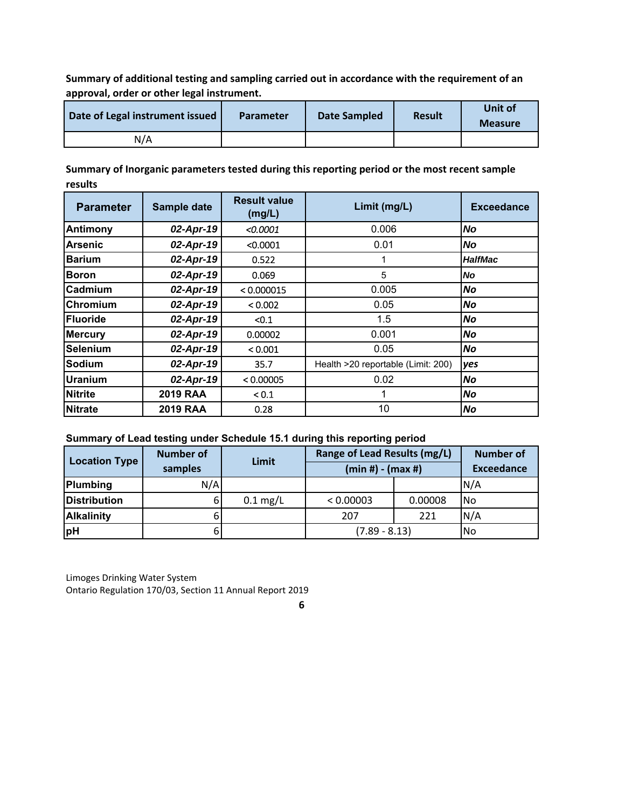**Summary of additional testing and sampling carried out in accordance with the requirement of an approval, order or other legal instrument.**

| Date of Legal instrument issued | <b>Parameter</b> | <b>Date Sampled</b> | <b>Result</b> | Unit of<br><b>Measure</b> |
|---------------------------------|------------------|---------------------|---------------|---------------------------|
| N/A                             |                  |                     |               |                           |

**Summary of Inorganic parameters tested during this reporting period or the most recent sample results**

| <b>Parameter</b> | Sample date     | <b>Result value</b><br>(mg/L) | Limit (mg/L)                       | <b>Exceedance</b> |
|------------------|-----------------|-------------------------------|------------------------------------|-------------------|
| <b>Antimony</b>  | $02$ -Apr-19    | <0.0001                       | 0.006                              | No                |
| <b>Arsenic</b>   | $02$ -Apr-19    | < 0.0001                      | 0.01                               | No                |
| <b>Barium</b>    | $02$ -Apr-19    | 0.522                         |                                    | <b>HalfMac</b>    |
| Boron            | $02$ -Apr-19    | 0.069                         | 5                                  | No                |
| <b>Cadmium</b>   | $02$ -Apr-19    | < 0.000015                    | 0.005                              | No                |
| Chromium         | $02$ -Apr-19    | < 0.002                       | 0.05                               | No                |
| <b>Fluoride</b>  | $02$ -Apr-19    | < 0.1                         | 1.5                                | No                |
| <b>Mercury</b>   | $02$ -Apr-19    | 0.00002                       | 0.001                              | No                |
| <b>Selenium</b>  | $02$ -Apr-19    | < 0.001                       | 0.05                               | No                |
| <b>Sodium</b>    | $02$ -Apr-19    | 35.7                          | Health >20 reportable (Limit: 200) | yes               |
| Uranium          | $02$ -Apr-19    | < 0.00005                     | 0.02                               | No                |
| <b>Nitrite</b>   | <b>2019 RAA</b> | < 0.1                         |                                    | No                |
| <b>Nitrate</b>   | <b>2019 RAA</b> | 0.28                          | 10                                 | No                |

# **Summary of Lead testing under Schedule 15.1 during this reporting period**

| <b>Location Type</b> | <b>Number of</b><br>samples | Limit      | Range of Lead Results (mg/L)<br>$(min #) - (max #)$ |         | <b>Number of</b><br><b>Exceedance</b> |
|----------------------|-----------------------------|------------|-----------------------------------------------------|---------|---------------------------------------|
| Plumbing             | N/A                         |            |                                                     |         | N/A                                   |
| <b>Distribution</b>  | ы                           | $0.1$ mg/L | < 0.00003                                           | 0.00008 | l No                                  |
| <b>Alkalinity</b>    |                             |            | 207                                                 | 221     | N/A                                   |
| <b>pH</b>            |                             |            | $(7.89 - 8.13)$                                     |         | l No                                  |

Limoges Drinking Water System Ontario Regulation 170/03, Section 11 Annual Report 2019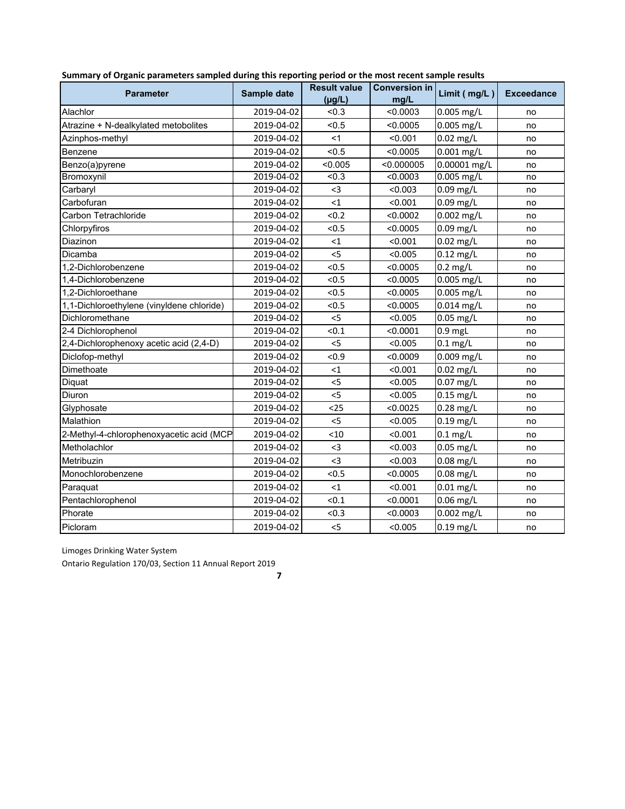| <b>Parameter</b>                          | Sample date | <b>Result value</b><br>$(\mu g/L)$ | <b>Conversion in</b><br>mg/L | Limit $(mg/L)$          | <b>Exceedance</b> |
|-------------------------------------------|-------------|------------------------------------|------------------------------|-------------------------|-------------------|
| Alachlor                                  | 2019-04-02  | < 0.3                              | < 0.0003                     | 0.005 mg/L              | no                |
| Atrazine + N-dealkylated metobolites      | 2019-04-02  | < 0.5                              | < 0.0005                     | 0.005 mg/L              | no                |
| Azinphos-methyl                           | 2019-04-02  | <1                                 | < 0.001                      | 0.02 mg/L               | no                |
| Benzene                                   | 2019-04-02  | < 0.5                              | < 0.0005                     | 0.001 mg/L              | no                |
| Benzo(a)pyrene                            | 2019-04-02  | < 0.005                            | < 0.000005                   | 0.00001 mg/L            | no                |
| Bromoxynil                                | 2019-04-02  | < 0.3                              | < 0.0003                     | $0.005$ mg/L            | no                |
| Carbaryl                                  | 2019-04-02  | $3$                                | < 0.003                      | 0.09 mg/L               | no                |
| Carbofuran                                | 2019-04-02  | $\leq 1$                           | < 0.001                      | 0.09 mg/L               | no                |
| Carbon Tetrachloride                      | 2019-04-02  | < 0.2                              | < 0.0002                     | 0.002 mg/L              | no                |
| Chlorpyfiros                              | 2019-04-02  | < 0.5                              | < 0.0005                     | 0.09 mg/L               | no                |
| Diazinon                                  | 2019-04-02  | $\leq 1$                           | < 0.001                      | $0.02$ mg/L             | no                |
| Dicamba                                   | 2019-04-02  | $<$ 5                              | < 0.005                      | $\overline{0.12}$ mg/L  | no                |
| 1.2-Dichlorobenzene                       | 2019-04-02  | < 0.5                              | < 0.0005                     | $0.2$ mg/L              | no                |
| 1.4-Dichlorobenzene                       | 2019-04-02  | < 0.5                              | < 0.0005                     | 0.005 mg/L              | no                |
| 1,2-Dichloroethane                        | 2019-04-02  | < 0.5                              | < 0.0005                     | $0.005$ mg/L            | no                |
| 1,1-Dichloroethylene (vinyldene chloride) | 2019-04-02  | < 0.5                              | < 0.0005                     | 0.014 mg/L              | no                |
| Dichloromethane                           | 2019-04-02  | < 5                                | < 0.005                      | 0.05 mg/L               | no                |
| 2-4 Dichlorophenol                        | 2019-04-02  | < 0.1                              | < 0.0001                     | $0.9$ mgL               | no                |
| 2,4-Dichlorophenoxy acetic acid (2,4-D)   | 2019-04-02  | $<$ 5                              | < 0.005                      | $0.1$ mg/L              | no                |
| Diclofop-methyl                           | 2019-04-02  | <0.9                               | < 0.0009                     | 0.009 mg/L              | no                |
| Dimethoate                                | 2019-04-02  | $\leq 1$                           | < 0.001                      | $0.02$ mg/L             | no                |
| Diquat                                    | 2019-04-02  | 5                                  | < 0.005                      | 0.07 mg/L               | no                |
| Diuron                                    | 2019-04-02  | $<$ 5                              | < 0.005                      | $0.15$ mg/L             | no                |
| Glyphosate                                | 2019-04-02  | $25$                               | < 0.0025                     | $0.28$ mg/L             | no                |
| Malathion                                 | 2019-04-02  | < 5                                | < 0.005                      | $0.19$ mg/L             | no                |
| 2-Methyl-4-chlorophenoxyacetic acid (MCP  | 2019-04-02  | < 10                               | < 0.001                      | $0.1$ mg/L              | no                |
| Metholachlor                              | 2019-04-02  | $3$                                | < 0.003                      | $0.05$ mg/L             | no                |
| Metribuzin                                | 2019-04-02  | <3                                 | < 0.003                      | 0.08 mg/L               | no                |
| Monochlorobenzene                         | 2019-04-02  | < 0.5                              | < 0.0005                     | $0.08$ mg/L             | no                |
| Paraquat                                  | 2019-04-02  | <1                                 | < 0.001                      | $0.01$ mg/L             | no                |
| Pentachlorophenol                         | 2019-04-02  | < 0.1                              | < 0.0001                     | 0.06 mg/L               | no                |
| Phorate                                   | 2019-04-02  | < 0.3                              | < 0.0003                     | $\overline{0.002}$ mg/L | no                |
| Picloram                                  | 2019-04-02  | < 5                                | < 0.005                      | $0.19$ mg/L             | no                |

**Summary of Organic parameters sampled during this reporting period or the most recent sample results**

Limoges Drinking Water System

Ontario Regulation 170/03, Section 11 Annual Report 2019